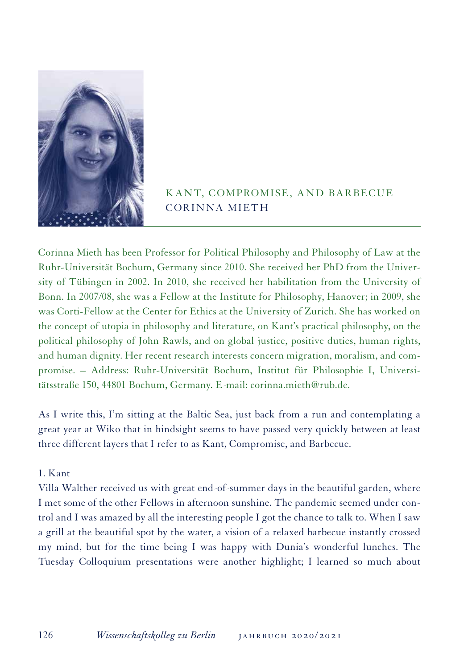

## KANT, COMPROMISE, AND BARBECUE CORINNA MIETH

Corinna Mieth has been Professor for Political Philosophy and Philosophy of Law at the Ruhr-Universität Bochum, Germany since 2010. She received her PhD from the University of Tübingen in 2002. In 2010, she received her habilitation from the University of Bonn. In 2007/08, she was a Fellow at the Institute for Philosophy, Hanover; in 2009, she was Corti-Fellow at the Center for Ethics at the University of Zurich. She has worked on the concept of utopia in philosophy and literature, on Kant's practical philosophy, on the political philosophy of John Rawls, and on global justice, positive duties, human rights, and human dignity. Her recent research interests concern migration, moralism, and compromise. – Address: Ruhr-Universität Bochum, Institut für Philosophie I, Universitätsstraße 150, 44801 Bochum, Germany. E-mail: corinna.mieth@rub.de.

As I write this, I'm sitting at the Baltic Sea, just back from a run and contemplating a great year at Wiko that in hindsight seems to have passed very quickly between at least three different layers that I refer to as Kant, Compromise, and Barbecue.

## 1. Kant

Villa Walther received us with great end-of-summer days in the beautiful garden, where I met some of the other Fellows in afternoon sunshine. The pandemic seemed under control and I was amazed by all the interesting people I got the chance to talk to. When I saw a grill at the beautiful spot by the water, a vision of a relaxed barbecue instantly crossed my mind, but for the time being I was happy with Dunia's wonderful lunches. The Tuesday Colloquium presentations were another highlight; I learned so much about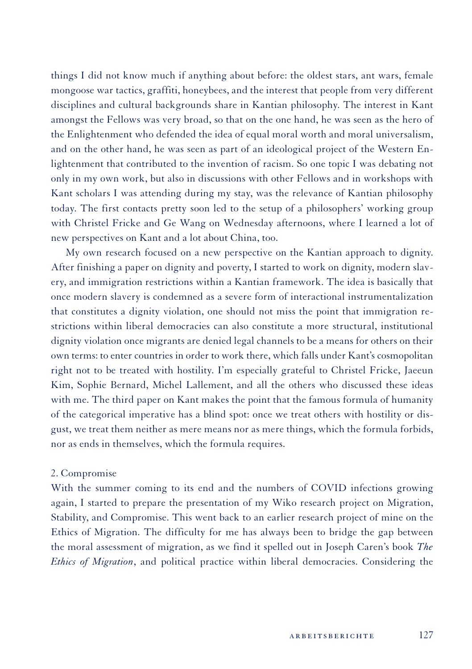things I did not know much if anything about before: the oldest stars, ant wars, female mongoose war tactics, graffiti, honeybees, and the interest that people from very different disciplines and cultural backgrounds share in Kantian philosophy. The interest in Kant amongst the Fellows was very broad, so that on the one hand, he was seen as the hero of the Enlightenment who defended the idea of equal moral worth and moral universalism, and on the other hand, he was seen as part of an ideological project of the Western Enlightenment that contributed to the invention of racism. So one topic I was debating not only in my own work, but also in discussions with other Fellows and in workshops with Kant scholars I was attending during my stay, was the relevance of Kantian philosophy today. The first contacts pretty soon led to the setup of a philosophers' working group with Christel Fricke and Ge Wang on Wednesday afternoons, where I learned a lot of new perspectives on Kant and a lot about China, too.

My own research focused on a new perspective on the Kantian approach to dignity. After finishing a paper on dignity and poverty, I started to work on dignity, modern slavery, and immigration restrictions within a Kantian framework. The idea is basically that once modern slavery is condemned as a severe form of interactional instrumentalization that constitutes a dignity violation, one should not miss the point that immigration restrictions within liberal democracies can also constitute a more structural, institutional dignity violation once migrants are denied legal channels to be a means for others on their own terms: to enter countries in order to work there, which falls under Kant's cosmopolitan right not to be treated with hostility. I'm especially grateful to Christel Fricke, Jaeeun Kim, Sophie Bernard, Michel Lallement, and all the others who discussed these ideas with me. The third paper on Kant makes the point that the famous formula of humanity of the categorical imperative has a blind spot: once we treat others with hostility or disgust, we treat them neither as mere means nor as mere things, which the formula forbids, nor as ends in themselves, which the formula requires.

## 2. Compromise

With the summer coming to its end and the numbers of COVID infections growing again, I started to prepare the presentation of my Wiko research project on Migration, Stability, and Compromise. This went back to an earlier research project of mine on the Ethics of Migration. The difficulty for me has always been to bridge the gap between the moral assessment of migration, as we find it spelled out in Joseph Caren's book *The Ethics of Migration*, and political practice within liberal democracies. Considering the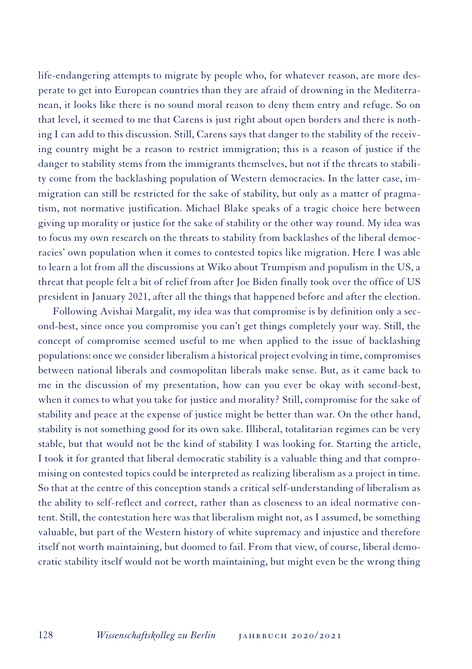life-endangering attempts to migrate by people who, for whatever reason, are more desperate to get into European countries than they are afraid of drowning in the Mediterranean, it looks like there is no sound moral reason to deny them entry and refuge. So on that level, it seemed to me that Carens is just right about open borders and there is nothing I can add to this discussion. Still, Carens says that danger to the stability of the receiving country might be a reason to restrict immigration; this is a reason of justice if the danger to stability stems from the immigrants themselves, but not if the threats to stability come from the backlashing population of Western democracies. In the latter case, immigration can still be restricted for the sake of stability, but only as a matter of pragmatism, not normative justification. Michael Blake speaks of a tragic choice here between giving up morality or justice for the sake of stability or the other way round. My idea was to focus my own research on the threats to stability from backlashes of the liberal democracies' own population when it comes to contested topics like migration. Here I was able to learn a lot from all the discussions at Wiko about Trumpism and populism in the US, a threat that people felt a bit of relief from after Joe Biden finally took over the office of US president in January 2021, after all the things that happened before and after the election.

Following Avishai Margalit, my idea was that compromise is by definition only a second-best, since once you compromise you can't get things completely your way. Still, the concept of compromise seemed useful to me when applied to the issue of backlashing populations: once we consider liberalism a historical project evolving in time, compromises between national liberals and cosmopolitan liberals make sense. But, as it came back to me in the discussion of my presentation, how can you ever be okay with second-best, when it comes to what you take for justice and morality? Still, compromise for the sake of stability and peace at the expense of justice might be better than war. On the other hand, stability is not something good for its own sake. Illiberal, totalitarian regimes can be very stable, but that would not be the kind of stability I was looking for. Starting the article, I took it for granted that liberal democratic stability is a valuable thing and that compromising on contested topics could be interpreted as realizing liberalism as a project in time. So that at the centre of this conception stands a critical self-understanding of liberalism as the ability to self-reflect and correct, rather than as closeness to an ideal normative content. Still, the contestation here was that liberalism might not, as I assumed, be something valuable, but part of the Western history of white supremacy and injustice and therefore itself not worth maintaining, but doomed to fail. From that view, of course, liberal democratic stability itself would not be worth maintaining, but might even be the wrong thing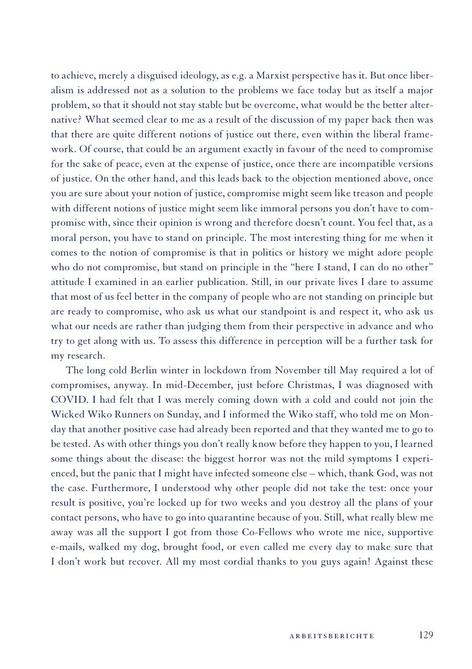to achieve, merely a disguised ideology, as e.g. a Marxist perspective has it. But once liberalism is addressed not as a solution to the problems we face today but as itself a major problem, so that it should not stay stable but be overcome, what would be the better alternative? What seemed clear to me as a result of the discussion of my paper back then was that there are quite different notions of justice out there, even within the liberal framework. Of course, that could be an argument exactly in favour of the need to compromise for the sake of peace, even at the expense of justice, once there are incompatible versions of justice. On the other hand, and this leads back to the objection mentioned above, once you are sure about your notion of justice, compromise might seem like treason and people with different notions of justice might seem like immoral persons you don't have to compromise with, since their opinion is wrong and therefore doesn't count. You feel that, as a moral person, you have to stand on principle. The most interesting thing for me when it comes to the notion of compromise is that in politics or history we might adore people who do not compromise, but stand on principle in the "here I stand, I can do no other" attitude I examined in an earlier publication. Still, in our private lives I dare to assume that most of us feel better in the company of people who are not standing on principle but are ready to compromise, who ask us what our standpoint is and respect it, who ask us what our needs are rather than judging them from their perspective in advance and who try to get along with us. To assess this difference in perception will be a further task for my research.

The long cold Berlin winter in lockdown from November till May required a lot of compromises, anyway. In mid-December, just before Christmas, I was diagnosed with COVID. I had felt that I was merely coming down with a cold and could not join the Wicked Wiko Runners on Sunday, and I informed the Wiko staff, who told me on Monday that another positive case had already been reported and that they wanted me to go to be tested. As with other things you don't really know before they happen to you, I learned some things about the disease: the biggest horror was not the mild symptoms I experienced, but the panic that I might have infected someone else – which, thank God, was not the case. Furthermore, I understood why other people did not take the test: once your result is positive, you're locked up for two weeks and you destroy all the plans of your contact persons, who have to go into quarantine because of you. Still, what really blew me away was all the support I got from those Co-Fellows who wrote me nice, supportive e-mails, walked my dog, brought food, or even called me every day to make sure that I don't work but recover. All my most cordial thanks to you guys again! Against these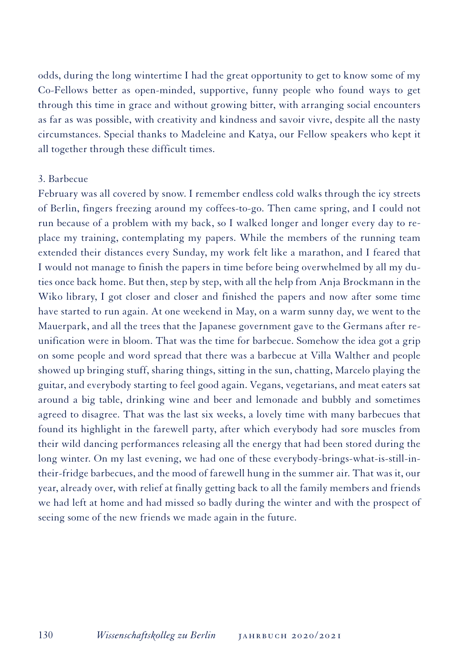odds, during the long wintertime I had the great opportunity to get to know some of my Co-Fellows better as open-minded, supportive, funny people who found ways to get through this time in grace and without growing bitter, with arranging social encounters as far as was possible, with creativity and kindness and savoir vivre, despite all the nasty circumstances. Special thanks to Madeleine and Katya, our Fellow speakers who kept it all together through these difficult times.

## 3. Barbecue

February was all covered by snow. I remember endless cold walks through the icy streets of Berlin, fingers freezing around my coffees-to-go. Then came spring, and I could not run because of a problem with my back, so I walked longer and longer every day to replace my training, contemplating my papers. While the members of the running team extended their distances every Sunday, my work felt like a marathon, and I feared that I would not manage to finish the papers in time before being overwhelmed by all my duties once back home. But then, step by step, with all the help from Anja Brockmann in the Wiko library, I got closer and closer and finished the papers and now after some time have started to run again. At one weekend in May, on a warm sunny day, we went to the Mauerpark, and all the trees that the Japanese government gave to the Germans after reunification were in bloom. That was the time for barbecue. Somehow the idea got a grip on some people and word spread that there was a barbecue at Villa Walther and people showed up bringing stuff, sharing things, sitting in the sun, chatting, Marcelo playing the guitar, and everybody starting to feel good again. Vegans, vegetarians, and meat eaters sat around a big table, drinking wine and beer and lemonade and bubbly and sometimes agreed to disagree. That was the last six weeks, a lovely time with many barbecues that found its highlight in the farewell party, after which everybody had sore muscles from their wild dancing performances releasing all the energy that had been stored during the long winter. On my last evening, we had one of these everybody-brings-what-is-still-intheir-fridge barbecues, and the mood of farewell hung in the summer air. That was it, our year, already over, with relief at finally getting back to all the family members and friends we had left at home and had missed so badly during the winter and with the prospect of seeing some of the new friends we made again in the future.